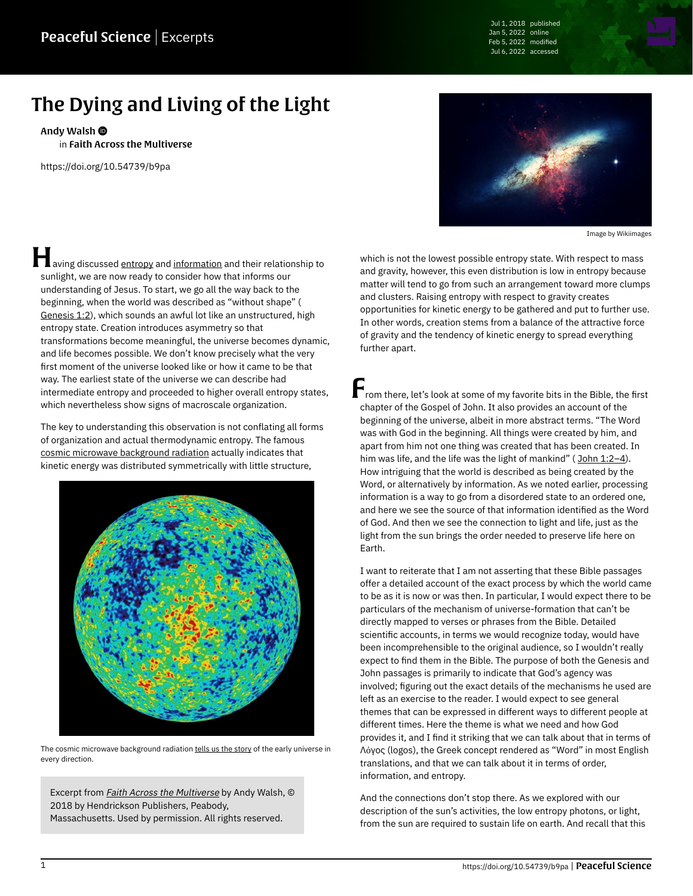Jul 1, 2018 published Jan 5, 2022 online Feb 5, 2022 modified Jul 6, 2022 accessed

## The Dying and Living of the Light

[Andy Walsh](https://peacefulscience.org/authors/awalsh/)

in [Faith Across the Multiverse](https://peacefulscience.org/books/faith-across-multiverse/)

<https://doi.org/10.54739/b9pa>

**Having discussed [entropy](https://en.wikipedia.org/wiki/Entropy) and [information](https://en.wikipedia.org/wiki/Information_theory) and their relationship to** sunlight, we are now ready to consider how that informs our understanding of Jesus. To start, we go all the way back to the beginning, when the world was described as "without shape" ( [Genesis 1:2\)](https://netbible.org/bible/Genesis+1), which sounds an awful lot like an unstructured, high entropy state. Creation introduces asymmetry so that transformations become meaningful, the universe becomes dynamic, and life becomes possible. We don't know precisely what the very first moment of the universe looked like or how it came to be that way. The earliest state of the universe we can describe had intermediate entropy and proceeded to higher overall entropy states, which nevertheless show signs of macroscale organization.

The key to understanding this observation is not conflating all forms of organization and actual thermodynamic entropy. The famous [cosmic microwave background radiation](https://en.wikipedia.org/wiki/Cosmic_microwave_background) actually indicates that kinetic energy was distributed symmetrically with little structure,



The cosmic microwave background radiation [tells us the story](https://sos.noaa.gov/catalog/datasets/cosmic-microwave-background-wmap-first-year) of the early universe in every direction.

Excerpt from *[Faith Across the Multiverse](https://peacefulscience.org/books/faith-across-multiverse/)* by Andy Walsh, © 2018 by Hendrickson Publishers, Peabody, Massachusetts. Used by permission. All rights reserved.



Image by [Wikiimages](https://pixabay.com/photos/galaxy-space-universe-night-sky-11098)

which is not the lowest possible entropy state. With respect to mass and gravity, however, this even distribution is low in entropy because matter will tend to go from such an arrangement toward more clumps and clusters. Raising entropy with respect to gravity creates opportunities for kinetic energy to be gathered and put to further use. In other words, creation stems from a balance of the attractive force of gravity and the tendency of kinetic energy to spread everything further apart.

From there, let's look at some of my favorite bits in the Bible, the first chapter of the Gospel of John. It also provides an account of the beginning of the universe, albeit in more abstract terms. "The Word was with God in the beginning. All things were created by him, and apart from him not one thing was created that has been created. In him was life, and the life was the light of mankind" (John 1:2-4). How intriguing that the world is described as being created by the Word, or alternatively by information. As we noted earlier, processing information is a way to go from a disordered state to an ordered one, and here we see the source of that information identified as the Word of God. And then we see the connection to light and life, just as the light from the sun brings the order needed to preserve life here on Earth.

I want to reiterate that I am not asserting that these Bible passages offer a detailed account of the exact process by which the world came to be as it is now or was then. In particular, I would expect there to be particulars of the mechanism of universe-formation that can't be directly mapped to verses or phrases from the Bible. Detailed scientific accounts, in terms we would recognize today, would have been incomprehensible to the original audience, so I wouldn't really expect to find them in the Bible. The purpose of both the Genesis and John passages is primarily to indicate that God's agency was involved; figuring out the exact details of the mechanisms he used are left as an exercise to the reader. I would expect to see general themes that can be expressed in different ways to different people at different times. Here the theme is what we need and how God provides it, and I find it striking that we can talk about that in terms of Λόγος (logos), the Greek concept rendered as "Word" in most English translations, and that we can talk about it in terms of order, information, and entropy.

And the connections don't stop there. As we explored with our description of the sun's activities, the low entropy photons, or light, from the sun are required to sustain life on earth. And recall that this